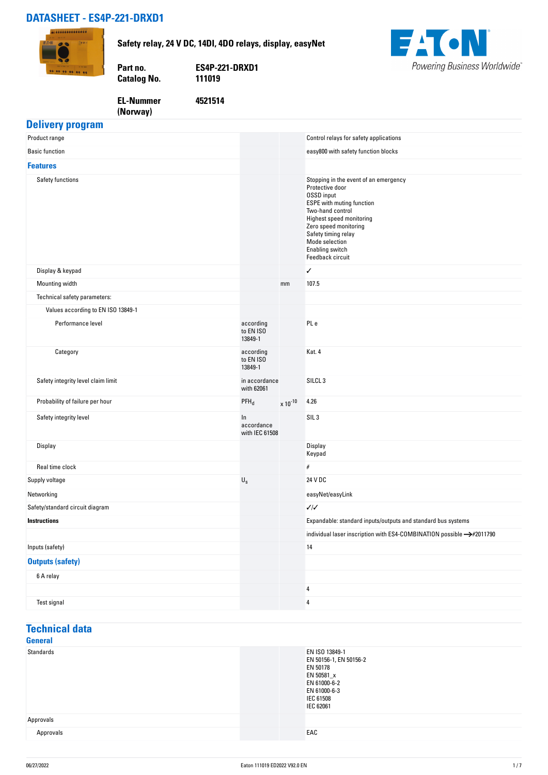### **DATASHEET - ES4P-221-DRXD1**





### **EL-Nummer (Norway)**

**4521514**

### **Delivery program**

| Product range                      |                                    |              | Control relays for safety applications                                                                                                                                                                                                                                     |
|------------------------------------|------------------------------------|--------------|----------------------------------------------------------------------------------------------------------------------------------------------------------------------------------------------------------------------------------------------------------------------------|
| <b>Basic function</b>              |                                    |              | easy800 with safety function blocks                                                                                                                                                                                                                                        |
| <b>Features</b>                    |                                    |              |                                                                                                                                                                                                                                                                            |
| Safety functions                   |                                    |              | Stopping in the event of an emergency<br>Protective door<br><b>OSSD</b> input<br><b>ESPE</b> with muting function<br>Two-hand control<br>Highest speed monitoring<br>Zero speed monitoring<br>Safety timing relay<br>Mode selection<br>Enabling switch<br>Feedback circuit |
| Display & keypad                   |                                    |              | ✓                                                                                                                                                                                                                                                                          |
| Mounting width                     |                                    | mm           | 107.5                                                                                                                                                                                                                                                                      |
| Technical safety parameters:       |                                    |              |                                                                                                                                                                                                                                                                            |
| Values according to EN ISO 13849-1 |                                    |              |                                                                                                                                                                                                                                                                            |
| Performance level                  | according<br>to EN ISO<br>13849-1  |              | PL e                                                                                                                                                                                                                                                                       |
| Category                           | according<br>to EN ISO<br>13849-1  |              | Kat. 4                                                                                                                                                                                                                                                                     |
| Safety integrity level claim limit | in accordance<br>with 62061        |              | SILCL <sub>3</sub>                                                                                                                                                                                                                                                         |
| Probability of failure per hour    | $PFH_d$                            | $x 10^{-10}$ | 4.26                                                                                                                                                                                                                                                                       |
| Safety integrity level             | In<br>accordance<br>with IEC 61508 |              | SIL <sub>3</sub>                                                                                                                                                                                                                                                           |
| Display                            |                                    |              | Display<br>Keypad                                                                                                                                                                                                                                                          |
| Real time clock                    |                                    |              | $\#$                                                                                                                                                                                                                                                                       |
| Supply voltage                     | $\mathsf{U}_\mathsf{S}$            |              | 24 V DC                                                                                                                                                                                                                                                                    |
| Networking                         |                                    |              | easyNet/easyLink                                                                                                                                                                                                                                                           |
| Safety/standard circuit diagram    |                                    |              | $\sqrt{2}$                                                                                                                                                                                                                                                                 |
| <b>Instructions</b>                |                                    |              | Expandable: standard inputs/outputs and standard bus systems                                                                                                                                                                                                               |
|                                    |                                    |              | individual laser inscription with ES4-COMBINATION possible ->#2011790                                                                                                                                                                                                      |
| Inputs (safety)                    |                                    |              | 14                                                                                                                                                                                                                                                                         |
| <b>Outputs (safety)</b>            |                                    |              |                                                                                                                                                                                                                                                                            |
| 6 A relay                          |                                    |              |                                                                                                                                                                                                                                                                            |
|                                    |                                    |              | 4                                                                                                                                                                                                                                                                          |
| Test signal                        |                                    |              | 4                                                                                                                                                                                                                                                                          |

#### **Technical data General**

| uvnviul   |                                                                                                                              |
|-----------|------------------------------------------------------------------------------------------------------------------------------|
| Standards | EN ISO 13849-1<br>EN 50156-1, EN 50156-2<br>EN 50178<br>EN 50581_x<br>EN 61000-6-2<br>EN 61000-6-3<br>IEC 61508<br>IEC 62061 |
| Approvals |                                                                                                                              |
| Approvals | EAC                                                                                                                          |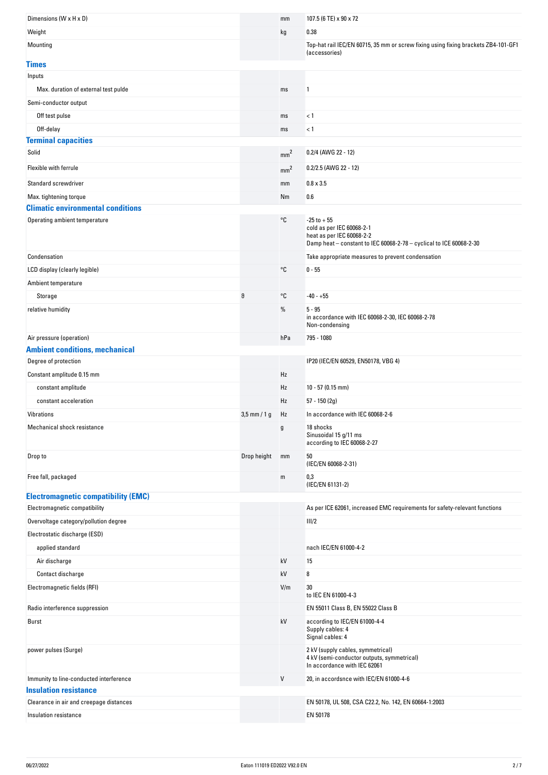| Dimensions (W x H x D)                     |                | mm              | 107.5 (6 TE) x 90 x 72                                                                                                                          |
|--------------------------------------------|----------------|-----------------|-------------------------------------------------------------------------------------------------------------------------------------------------|
| Weight                                     |                | kg              | 0.38                                                                                                                                            |
| Mounting                                   |                |                 | Top-hat rail IEC/EN 60715, 35 mm or screw fixing using fixing brackets ZB4-101-GF1<br>(accessories)                                             |
| <b>Times</b>                               |                |                 |                                                                                                                                                 |
| Inputs                                     |                |                 |                                                                                                                                                 |
| Max. duration of external test pulde       |                | ms              | 1                                                                                                                                               |
| Semi-conductor output                      |                |                 |                                                                                                                                                 |
| Off test pulse                             |                | ms              | < 1                                                                                                                                             |
| Off-delay                                  |                | ms              | < 1                                                                                                                                             |
| <b>Terminal capacities</b>                 |                |                 |                                                                                                                                                 |
| Solid                                      |                | mm <sup>2</sup> | 0.2/4 (AWG 22 - 12)                                                                                                                             |
| Flexible with ferrule                      |                | mm <sup>2</sup> | $0.2/2.5$ (AWG 22 - 12)                                                                                                                         |
| Standard screwdriver                       |                | mm              | $0.8 \times 3.5$                                                                                                                                |
| Max. tightening torque                     |                | Nm              | 0.6                                                                                                                                             |
| <b>Climatic environmental conditions</b>   |                |                 |                                                                                                                                                 |
| Operating ambient temperature              |                | °C              | $-25$ to $+55$<br>cold as per IEC 60068-2-1<br>heat as per IEC 60068-2-2<br>Damp heat - constant to IEC 60068-2-78 - cyclical to ICE 60068-2-30 |
| Condensation                               |                |                 | Take appropriate measures to prevent condensation                                                                                               |
| LCD display (clearly legible)              |                | °C              | $0 - 55$                                                                                                                                        |
| Ambient temperature                        |                |                 |                                                                                                                                                 |
| Storage                                    | θ              | °C              | $-40 - +55$                                                                                                                                     |
| relative humidity                          |                | %               | $5 - 95$<br>in accordance with IEC 60068-2-30, IEC 60068-2-78<br>Non-condensing                                                                 |
| Air pressure (operation)                   |                | hPa             | 795 - 1080                                                                                                                                      |
| <b>Ambient conditions, mechanical</b>      |                |                 |                                                                                                                                                 |
| Degree of protection                       |                |                 | IP20 (IEC/EN 60529, EN50178, VBG 4)                                                                                                             |
| Constant amplitude 0.15 mm                 |                | Hz              |                                                                                                                                                 |
| constant amplitude                         |                | Hz              | $10 - 57(0.15$ mm)                                                                                                                              |
| constant acceleration                      |                | Hz              | $57 - 150(2g)$                                                                                                                                  |
| Vibrations                                 | $3,5$ mm / 1 g | Hz              | In accordance with IEC 60068-2-6                                                                                                                |
| Mechanical shock resistance                |                |                 | 18 shocks<br>Sinusoidal 15 g/11 ms<br>according to IEC 60068-2-27                                                                               |
| Drop to                                    | Drop height    | mm              | 50<br>(IEC/EN 60068-2-31)                                                                                                                       |
| Free fall, packaged                        |                | m               | 0,3<br>(IEC/EN 61131-2)                                                                                                                         |
| <b>Electromagnetic compatibility (EMC)</b> |                |                 |                                                                                                                                                 |
| Electromagnetic compatibility              |                |                 | As per ICE 62061, increased EMC requirements for safety-relevant functions                                                                      |
| Overvoltage category/pollution degree      |                |                 | III/2                                                                                                                                           |
| Electrostatic discharge (ESD)              |                |                 |                                                                                                                                                 |
| applied standard                           |                |                 | nach IEC/EN 61000-4-2                                                                                                                           |
| Air discharge                              |                | kV              | 15                                                                                                                                              |
| Contact discharge                          |                | kV              | 8                                                                                                                                               |
| Electromagnetic fields (RFI)               |                | V/m             | 30<br>to IEC EN 61000-4-3                                                                                                                       |
|                                            |                |                 |                                                                                                                                                 |
| Radio interference suppression             |                |                 | EN 55011 Class B, EN 55022 Class B                                                                                                              |
| Burst                                      |                | kV              | according to IEC/EN 61000-4-4<br>Supply cables: 4<br>Signal cables: 4                                                                           |
| power pulses (Surge)                       |                |                 | 2 kV (supply cables, symmetrical)<br>4 kV (semi-conductor outputs, symmetrical)<br>In accordance with IEC 62061                                 |
| Immunity to line-conducted interference    |                | V               | 20, in accordsnce with IEC/EN 61000-4-6                                                                                                         |
| <b>Insulation resistance</b>               |                |                 |                                                                                                                                                 |
| Clearance in air and creepage distances    |                |                 | EN 50178, UL 508, CSA C22.2, No. 142, EN 60664-1:2003                                                                                           |
| Insulation resistance                      |                |                 | EN 50178                                                                                                                                        |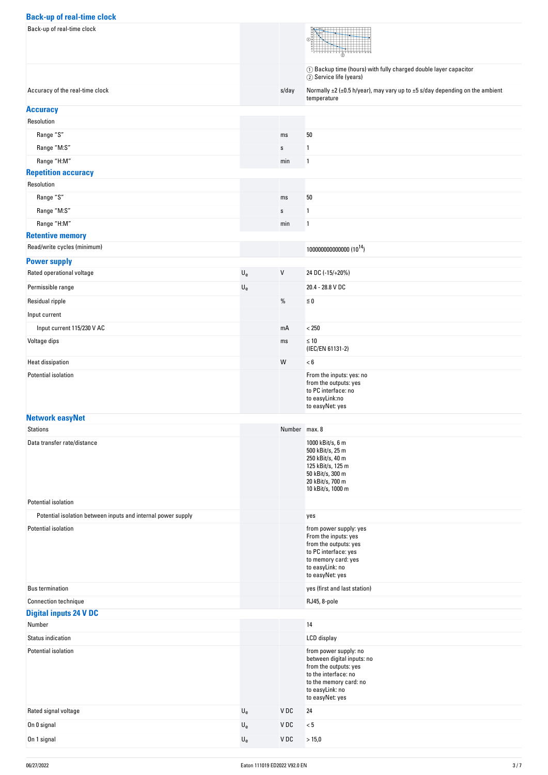### **Back-up of real-time clock**

| <b>Back-up of real-time Clock</b>                                                   |                           |               |                                                                                                                                                                      |
|-------------------------------------------------------------------------------------|---------------------------|---------------|----------------------------------------------------------------------------------------------------------------------------------------------------------------------|
| Back-up of real-time clock                                                          |                           |               |                                                                                                                                                                      |
|                                                                                     |                           |               | 1 Backup time (hours) with fully charged double layer capacitor<br>2 Service life (years)                                                                            |
| Accuracy of the real-time clock                                                     |                           | s/day         | Normally ±2 (±0.5 h/year), may vary up to ±5 s/day depending on the ambient<br>temperature                                                                           |
| <b>Accuracy</b>                                                                     |                           |               |                                                                                                                                                                      |
| Resolution                                                                          |                           |               |                                                                                                                                                                      |
| Range "S"                                                                           |                           | ms            | 50                                                                                                                                                                   |
| Range "M:S"                                                                         |                           | $\mathbf S$   | $\overline{1}$                                                                                                                                                       |
| Range "H:M"                                                                         |                           | min           | 1                                                                                                                                                                    |
| <b>Repetition accuracy</b>                                                          |                           |               |                                                                                                                                                                      |
| Resolution                                                                          |                           |               |                                                                                                                                                                      |
| Range "S"                                                                           |                           | ms            | 50                                                                                                                                                                   |
| Range "M:S"                                                                         |                           | $\mathbf S$   | 1                                                                                                                                                                    |
| Range "H:M"                                                                         |                           | min           | 1                                                                                                                                                                    |
| <b>Retentive memory</b>                                                             |                           |               |                                                                                                                                                                      |
| Read/write cycles (minimum)                                                         |                           |               | 10000000000000 (10 <sup>14</sup> )                                                                                                                                   |
| <b>Power supply</b>                                                                 |                           |               |                                                                                                                                                                      |
| Rated operational voltage                                                           | $\mathsf{U}_{\mathsf{e}}$ | $\mathsf{V}$  | 24 DC (-15/+20%)                                                                                                                                                     |
| Permissible range                                                                   | $\mathsf{U}_{\mathsf{e}}$ |               | 20.4 - 28.8 V DC                                                                                                                                                     |
| Residual ripple                                                                     |                           | $\%$          | $\leq 0$                                                                                                                                                             |
| Input current                                                                       |                           |               |                                                                                                                                                                      |
| Input current 115/230 V AC                                                          |                           | mA            | $< 250$                                                                                                                                                              |
| Voltage dips                                                                        |                           | ms            | $\leq 10$<br>(IEC/EN 61131-2)                                                                                                                                        |
| Heat dissipation                                                                    |                           | W             | < 6                                                                                                                                                                  |
| Potential isolation                                                                 |                           |               | From the inputs: yes: no<br>from the outputs: yes<br>to PC interface: no<br>to easyLink:no<br>to easyNet: yes                                                        |
| <b>Network easyNet</b><br>Stations                                                  |                           | Number max. 8 |                                                                                                                                                                      |
| Data transfer rate/distance                                                         |                           |               | 1000 kBit/s, 6 m                                                                                                                                                     |
|                                                                                     |                           |               | 500 kBit/s, 25 m<br>250 kBit/s, 40 m<br>125 kBit/s, 125 m<br>50 kBit/s, 300 m<br>20 kBit/s, 700 m<br>10 kBit/s, 1000 m                                               |
| Potential isolation                                                                 |                           |               |                                                                                                                                                                      |
| Potential isolation between inputs and internal power supply<br>Potential isolation |                           |               | yes<br>from power supply: yes<br>From the inputs: yes<br>from the outputs: yes<br>to PC interface: yes<br>to memory card: yes<br>to easyLink: no<br>to easyNet: yes  |
| <b>Bus termination</b>                                                              |                           |               | yes (first and last station)                                                                                                                                         |
| <b>Connection technique</b>                                                         |                           |               | RJ45, 8-pole                                                                                                                                                         |
| <b>Digital inputs 24 V DC</b>                                                       |                           |               |                                                                                                                                                                      |
| Number                                                                              |                           |               | 14                                                                                                                                                                   |
| Status indication                                                                   |                           |               | LCD display                                                                                                                                                          |
| Potential isolation                                                                 |                           |               | from power supply: no<br>between digital inputs: no<br>from the outputs: yes<br>to the interface: no<br>to the memory card: no<br>to easyLink: no<br>to easyNet: yes |
| Rated signal voltage                                                                | $\mathsf{U}_{\mathsf{e}}$ | V DC          | 24                                                                                                                                                                   |
| On 0 signal                                                                         | $\mathsf{U}_{\mathsf{e}}$ | VDC           | < 5                                                                                                                                                                  |
| On 1 signal                                                                         | $\mathsf{U}_{\mathsf{e}}$ | VDC           | > 15,0                                                                                                                                                               |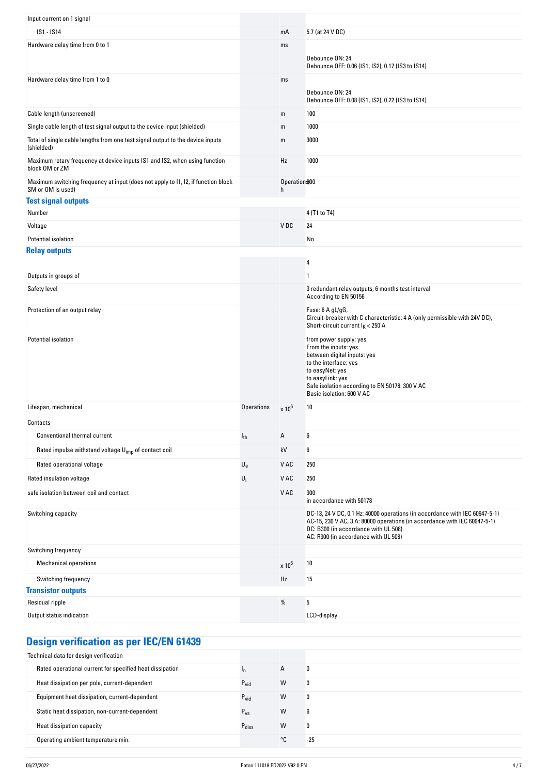| Input current on 1 signal                                                                              |                           |                               |                                                                                                                                                                                                                                          |
|--------------------------------------------------------------------------------------------------------|---------------------------|-------------------------------|------------------------------------------------------------------------------------------------------------------------------------------------------------------------------------------------------------------------------------------|
| IS1 - IS14                                                                                             |                           | mA                            | 5.7 (at 24 V DC)                                                                                                                                                                                                                         |
| Hardware delay time from 0 to 1                                                                        |                           | ms                            |                                                                                                                                                                                                                                          |
|                                                                                                        |                           |                               | Debounce ON: 24<br>Debounce OFF: 0.06 (IS1, IS2), 0.17 (IS3 to IS14)                                                                                                                                                                     |
| Hardware delay time from 1 to 0                                                                        |                           | ms                            |                                                                                                                                                                                                                                          |
|                                                                                                        |                           |                               | Debounce ON: 24<br>Debounce OFF: 0.08 (IS1, IS2), 0.22 (IS3 to IS14)                                                                                                                                                                     |
| Cable length (unscreened)                                                                              |                           | m                             | 100                                                                                                                                                                                                                                      |
| Single cable length of test signal output to the device input (shielded)                               |                           | m                             | 1000                                                                                                                                                                                                                                     |
| Total of single cable lengths from one test signal output to the device inputs<br>(shielded)           |                           | m                             | 3000                                                                                                                                                                                                                                     |
| Maximum rotary frequency at device inputs IS1 and IS2, when using function<br>block OM or ZM           |                           | Hz                            | 1000                                                                                                                                                                                                                                     |
| Maximum switching frequency at input (does not apply to I1, I2, if function block<br>SM or OM is used) |                           | Operation <sup>900</sup><br>h |                                                                                                                                                                                                                                          |
| <b>Test signal outputs</b>                                                                             |                           |                               |                                                                                                                                                                                                                                          |
| Number                                                                                                 |                           |                               | 4 (T1 to T4)                                                                                                                                                                                                                             |
| Voltage                                                                                                |                           | VDC                           | 24                                                                                                                                                                                                                                       |
| Potential isolation                                                                                    |                           |                               | No                                                                                                                                                                                                                                       |
| <b>Relay outputs</b>                                                                                   |                           |                               | 4                                                                                                                                                                                                                                        |
| Outputs in groups of                                                                                   |                           |                               | $\mathbf{1}$                                                                                                                                                                                                                             |
| Safety level                                                                                           |                           |                               | 3 redundant relay outputs, 6 months test interval                                                                                                                                                                                        |
|                                                                                                        |                           |                               | According to EN 50156                                                                                                                                                                                                                    |
| Protection of an output relay                                                                          |                           |                               | Fuse: $6$ A $gL/gG$ ,<br>Circuit-breaker with C characteristic: 4 A (only permissible with 24V DC),<br>Short-circuit current $I_K$ < 250 A                                                                                               |
| Potential isolation                                                                                    |                           |                               | from power supply: yes<br>From the inputs: yes<br>between digital inputs: yes<br>to the interface: yes<br>to easyNet: yes<br>to easyLink: yes<br>Safe isolation according to EN 50178: 300 V AC<br>Basic isolation: 600 V AC             |
| Lifespan, mechanical                                                                                   | <b>Operations</b>         | $\times 10^6$                 | 10                                                                                                                                                                                                                                       |
| Contacts                                                                                               |                           |                               |                                                                                                                                                                                                                                          |
| Conventional thermal current                                                                           | $I_{th}$                  | А                             | 6                                                                                                                                                                                                                                        |
| Rated impulse withstand voltage U <sub>imp</sub> of contact coil                                       |                           | kV                            | 6                                                                                                                                                                                                                                        |
| Rated operational voltage                                                                              | $\mathsf{U}_{\mathsf{e}}$ | V AC                          | 250                                                                                                                                                                                                                                      |
| Rated insulation voltage                                                                               | $U_i$                     | V AC                          | 250                                                                                                                                                                                                                                      |
| safe isolation between coil and contact                                                                |                           | V AC                          | 300<br>in accordance with 50178                                                                                                                                                                                                          |
| Switching capacity                                                                                     |                           |                               | DC-13, 24 V DC, 0.1 Hz: 40000 operations (in accordance with IEC 60947-5-1)<br>AC-15, 230 V AC, 3 A: 80000 operations (in accordance with IEC 60947-5-1)<br>DC: B300 (in accordance with UL 508)<br>AC: R300 (in accordance with UL 508) |
| Switching frequency                                                                                    |                           |                               |                                                                                                                                                                                                                                          |
| <b>Mechanical operations</b>                                                                           |                           | $\times 10^6$                 | 10                                                                                                                                                                                                                                       |
| Switching frequency                                                                                    |                           | Hz                            | 15                                                                                                                                                                                                                                       |
| <b>Transistor outputs</b>                                                                              |                           |                               |                                                                                                                                                                                                                                          |
| Residual ripple                                                                                        |                           | %                             | 5                                                                                                                                                                                                                                        |
| Output status indication                                                                               |                           |                               | LCD-display                                                                                                                                                                                                                              |
|                                                                                                        |                           |                               |                                                                                                                                                                                                                                          |

## **Design verification as per IEC/EN 61439**

| Technical data for design verification                   |                   |    |       |
|----------------------------------------------------------|-------------------|----|-------|
| Rated operational current for specified heat dissipation |                   | A  |       |
| Heat dissipation per pole, current-dependent             | $P_{\text{vid}}$  | W  | 0     |
| Equipment heat dissipation, current-dependent            | $P_{\text{vid}}$  | W  | IJ    |
| Static heat dissipation, non-current-dependent           | $P_{VS}$          | W  | 6     |
| Heat dissipation capacity                                | $P_{\text{diss}}$ | W  | 0     |
| Operating ambient temperature min.                       |                   | °C | $-25$ |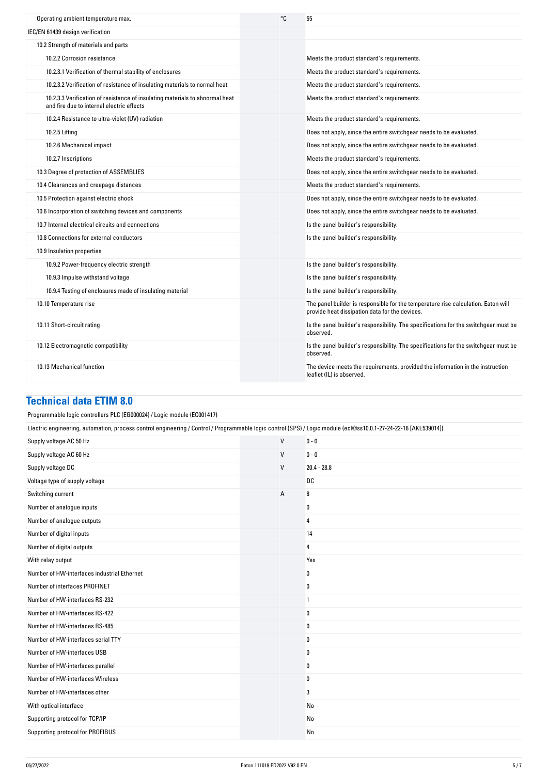| Operating ambient temperature max.                                                                                        | ۰c | 55                                                                                                                                  |
|---------------------------------------------------------------------------------------------------------------------------|----|-------------------------------------------------------------------------------------------------------------------------------------|
| IEC/EN 61439 design verification                                                                                          |    |                                                                                                                                     |
| 10.2 Strength of materials and parts                                                                                      |    |                                                                                                                                     |
| 10.2.2 Corrosion resistance                                                                                               |    | Meets the product standard's requirements.                                                                                          |
| 10.2.3.1 Verification of thermal stability of enclosures                                                                  |    | Meets the product standard's requirements.                                                                                          |
| 10.2.3.2 Verification of resistance of insulating materials to normal heat                                                |    | Meets the product standard's requirements.                                                                                          |
| 10.2.3.3 Verification of resistance of insulating materials to abnormal heat<br>and fire due to internal electric effects |    | Meets the product standard's requirements.                                                                                          |
| 10.2.4 Resistance to ultra-violet (UV) radiation                                                                          |    | Meets the product standard's requirements.                                                                                          |
| 10.2.5 Lifting                                                                                                            |    | Does not apply, since the entire switchgear needs to be evaluated.                                                                  |
| 10.2.6 Mechanical impact                                                                                                  |    | Does not apply, since the entire switchgear needs to be evaluated.                                                                  |
| 10.2.7 Inscriptions                                                                                                       |    | Meets the product standard's requirements.                                                                                          |
| 10.3 Degree of protection of ASSEMBLIES                                                                                   |    | Does not apply, since the entire switchgear needs to be evaluated.                                                                  |
| 10.4 Clearances and creepage distances                                                                                    |    | Meets the product standard's requirements.                                                                                          |
| 10.5 Protection against electric shock                                                                                    |    | Does not apply, since the entire switchgear needs to be evaluated.                                                                  |
| 10.6 Incorporation of switching devices and components                                                                    |    | Does not apply, since the entire switchgear needs to be evaluated.                                                                  |
| 10.7 Internal electrical circuits and connections                                                                         |    | Is the panel builder's responsibility.                                                                                              |
| 10.8 Connections for external conductors                                                                                  |    | Is the panel builder's responsibility.                                                                                              |
| 10.9 Insulation properties                                                                                                |    |                                                                                                                                     |
| 10.9.2 Power-frequency electric strength                                                                                  |    | Is the panel builder's responsibility.                                                                                              |
| 10.9.3 Impulse withstand voltage                                                                                          |    | Is the panel builder's responsibility.                                                                                              |
| 10.9.4 Testing of enclosures made of insulating material                                                                  |    | Is the panel builder's responsibility.                                                                                              |
| 10.10 Temperature rise                                                                                                    |    | The panel builder is responsible for the temperature rise calculation. Eaton will<br>provide heat dissipation data for the devices. |
| 10.11 Short-circuit rating                                                                                                |    | Is the panel builder's responsibility. The specifications for the switchgear must be<br>observed.                                   |
| 10.12 Electromagnetic compatibility                                                                                       |    | Is the panel builder's responsibility. The specifications for the switchgear must be<br>observed.                                   |
| 10.13 Mechanical function                                                                                                 |    | The device meets the requirements, provided the information in the instruction<br>leaflet (IL) is observed.                         |

### **Technical data ETIM 8.0**

| Programmable logic controllers PLC (EG000024) / Logic module (EC001417)                                                                                          |              |   |               |  |  |
|------------------------------------------------------------------------------------------------------------------------------------------------------------------|--------------|---|---------------|--|--|
| Electric engineering, automation, process control engineering / Control / Programmable logic control (SPS) / Logic module (ecl@ss10.0.1-27-24-22-16 [AKE539014]) |              |   |               |  |  |
| $\mathsf{V}$<br>$0 - 0$<br>Supply voltage AC 50 Hz                                                                                                               |              |   |               |  |  |
| Supply voltage AC 60 Hz                                                                                                                                          | $\mathsf{V}$ |   | $0 - 0$       |  |  |
| Supply voltage DC                                                                                                                                                | $\vee$       |   | $20.4 - 28.8$ |  |  |
| Voltage type of supply voltage                                                                                                                                   |              |   | DC            |  |  |
| Switching current                                                                                                                                                |              | Α | 8             |  |  |
| Number of analogue inputs                                                                                                                                        |              |   | 0             |  |  |
| Number of analogue outputs                                                                                                                                       |              |   | 4             |  |  |
| Number of digital inputs                                                                                                                                         |              |   | 14            |  |  |
| Number of digital outputs                                                                                                                                        |              |   | 4             |  |  |
| With relay output                                                                                                                                                |              |   | Yes           |  |  |
| Number of HW-interfaces industrial Ethernet                                                                                                                      |              |   | 0             |  |  |
| Number of interfaces PROFINET                                                                                                                                    |              |   | 0             |  |  |
| Number of HW-interfaces RS-232                                                                                                                                   |              |   | 1             |  |  |
| Number of HW-interfaces RS-422                                                                                                                                   |              |   | 0             |  |  |
| Number of HW-interfaces RS-485                                                                                                                                   |              |   | 0             |  |  |
| Number of HW-interfaces serial TTY                                                                                                                               |              |   | 0             |  |  |
| Number of HW-interfaces USB                                                                                                                                      |              |   | 0             |  |  |
| Number of HW-interfaces parallel                                                                                                                                 |              |   | 0             |  |  |
| Number of HW-interfaces Wireless                                                                                                                                 |              |   | 0             |  |  |
| Number of HW-interfaces other                                                                                                                                    |              |   | 3             |  |  |
| With optical interface                                                                                                                                           |              |   | No            |  |  |
| Supporting protocol for TCP/IP                                                                                                                                   |              |   | No            |  |  |
| Supporting protocol for PROFIBUS                                                                                                                                 |              |   | No            |  |  |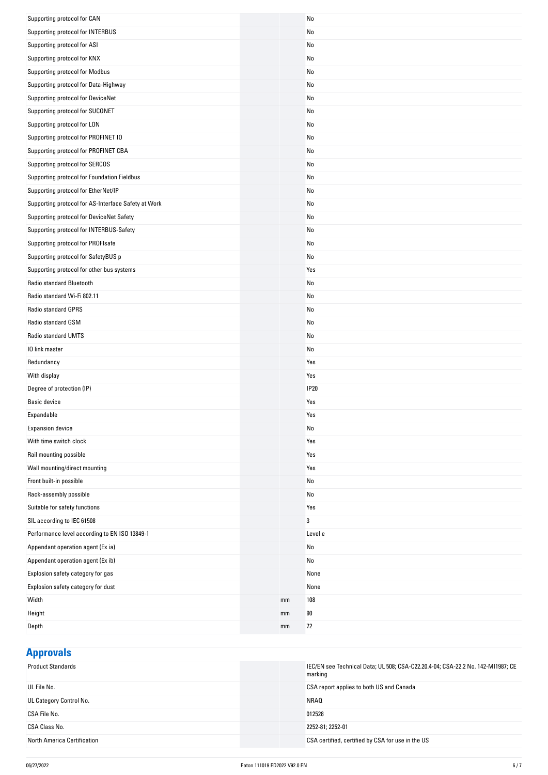| Supporting protocol for INTERBUS<br>No<br>Supporting protocol for ASI<br>No<br>Supporting protocol for KNX<br>No<br>Supporting protocol for Modbus<br>No<br>Supporting protocol for Data-Highway<br>No<br>Supporting protocol for DeviceNet<br>No<br>Supporting protocol for SUCONET<br>No<br>Supporting protocol for LON<br>No<br>Supporting protocol for PROFINET IO<br>No<br>Supporting protocol for PROFINET CBA<br>No<br>Supporting protocol for SERCOS<br>No<br>Supporting protocol for Foundation Fieldbus<br>No<br>Supporting protocol for EtherNet/IP<br>No<br>Supporting protocol for AS-Interface Safety at Work<br>No<br>Supporting protocol for DeviceNet Safety<br>No<br>Supporting protocol for INTERBUS-Safety<br>No<br>Supporting protocol for PROFIsafe<br>No<br>Supporting protocol for SafetyBUS p<br>No<br>Supporting protocol for other bus systems<br>Yes<br>Radio standard Bluetooth<br>No<br>Radio standard Wi-Fi 802.11<br>No<br>Radio standard GPRS<br>No<br>Radio standard GSM<br>No<br>Radio standard UMTS<br>No<br>10 link master<br>No<br>Redundancy<br>Yes<br>With display<br>Yes<br><b>IP20</b><br>Degree of protection (IP)<br><b>Basic device</b><br>Yes<br>Expandable<br>Yes<br><b>Expansion device</b><br>No<br>With time switch clock<br>Yes<br>Rail mounting possible<br>Yes<br>Wall mounting/direct mounting<br>Yes<br>Front built-in possible<br>No<br>Rack-assembly possible<br>No<br>Suitable for safety functions<br>Yes<br>SIL according to IEC 61508<br>3<br>Performance level according to EN ISO 13849-1<br>Level e<br>Appendant operation agent (Ex ia)<br>No<br>Appendant operation agent (Ex ib)<br>No<br>Explosion safety category for gas<br>None<br>Explosion safety category for dust<br>None<br>Width<br>108<br>mm<br>Height<br>90<br>mm<br>72<br>Depth<br>mm | Supporting protocol for CAN | No |
|-----------------------------------------------------------------------------------------------------------------------------------------------------------------------------------------------------------------------------------------------------------------------------------------------------------------------------------------------------------------------------------------------------------------------------------------------------------------------------------------------------------------------------------------------------------------------------------------------------------------------------------------------------------------------------------------------------------------------------------------------------------------------------------------------------------------------------------------------------------------------------------------------------------------------------------------------------------------------------------------------------------------------------------------------------------------------------------------------------------------------------------------------------------------------------------------------------------------------------------------------------------------------------------------------------------------------------------------------------------------------------------------------------------------------------------------------------------------------------------------------------------------------------------------------------------------------------------------------------------------------------------------------------------------------------------------------------------------------------------------------------------------------------------------------------------------------|-----------------------------|----|
|                                                                                                                                                                                                                                                                                                                                                                                                                                                                                                                                                                                                                                                                                                                                                                                                                                                                                                                                                                                                                                                                                                                                                                                                                                                                                                                                                                                                                                                                                                                                                                                                                                                                                                                                                                                                                       |                             |    |
|                                                                                                                                                                                                                                                                                                                                                                                                                                                                                                                                                                                                                                                                                                                                                                                                                                                                                                                                                                                                                                                                                                                                                                                                                                                                                                                                                                                                                                                                                                                                                                                                                                                                                                                                                                                                                       |                             |    |
|                                                                                                                                                                                                                                                                                                                                                                                                                                                                                                                                                                                                                                                                                                                                                                                                                                                                                                                                                                                                                                                                                                                                                                                                                                                                                                                                                                                                                                                                                                                                                                                                                                                                                                                                                                                                                       |                             |    |
|                                                                                                                                                                                                                                                                                                                                                                                                                                                                                                                                                                                                                                                                                                                                                                                                                                                                                                                                                                                                                                                                                                                                                                                                                                                                                                                                                                                                                                                                                                                                                                                                                                                                                                                                                                                                                       |                             |    |
|                                                                                                                                                                                                                                                                                                                                                                                                                                                                                                                                                                                                                                                                                                                                                                                                                                                                                                                                                                                                                                                                                                                                                                                                                                                                                                                                                                                                                                                                                                                                                                                                                                                                                                                                                                                                                       |                             |    |
|                                                                                                                                                                                                                                                                                                                                                                                                                                                                                                                                                                                                                                                                                                                                                                                                                                                                                                                                                                                                                                                                                                                                                                                                                                                                                                                                                                                                                                                                                                                                                                                                                                                                                                                                                                                                                       |                             |    |
|                                                                                                                                                                                                                                                                                                                                                                                                                                                                                                                                                                                                                                                                                                                                                                                                                                                                                                                                                                                                                                                                                                                                                                                                                                                                                                                                                                                                                                                                                                                                                                                                                                                                                                                                                                                                                       |                             |    |
|                                                                                                                                                                                                                                                                                                                                                                                                                                                                                                                                                                                                                                                                                                                                                                                                                                                                                                                                                                                                                                                                                                                                                                                                                                                                                                                                                                                                                                                                                                                                                                                                                                                                                                                                                                                                                       |                             |    |
|                                                                                                                                                                                                                                                                                                                                                                                                                                                                                                                                                                                                                                                                                                                                                                                                                                                                                                                                                                                                                                                                                                                                                                                                                                                                                                                                                                                                                                                                                                                                                                                                                                                                                                                                                                                                                       |                             |    |
|                                                                                                                                                                                                                                                                                                                                                                                                                                                                                                                                                                                                                                                                                                                                                                                                                                                                                                                                                                                                                                                                                                                                                                                                                                                                                                                                                                                                                                                                                                                                                                                                                                                                                                                                                                                                                       |                             |    |
|                                                                                                                                                                                                                                                                                                                                                                                                                                                                                                                                                                                                                                                                                                                                                                                                                                                                                                                                                                                                                                                                                                                                                                                                                                                                                                                                                                                                                                                                                                                                                                                                                                                                                                                                                                                                                       |                             |    |
|                                                                                                                                                                                                                                                                                                                                                                                                                                                                                                                                                                                                                                                                                                                                                                                                                                                                                                                                                                                                                                                                                                                                                                                                                                                                                                                                                                                                                                                                                                                                                                                                                                                                                                                                                                                                                       |                             |    |
|                                                                                                                                                                                                                                                                                                                                                                                                                                                                                                                                                                                                                                                                                                                                                                                                                                                                                                                                                                                                                                                                                                                                                                                                                                                                                                                                                                                                                                                                                                                                                                                                                                                                                                                                                                                                                       |                             |    |
|                                                                                                                                                                                                                                                                                                                                                                                                                                                                                                                                                                                                                                                                                                                                                                                                                                                                                                                                                                                                                                                                                                                                                                                                                                                                                                                                                                                                                                                                                                                                                                                                                                                                                                                                                                                                                       |                             |    |
|                                                                                                                                                                                                                                                                                                                                                                                                                                                                                                                                                                                                                                                                                                                                                                                                                                                                                                                                                                                                                                                                                                                                                                                                                                                                                                                                                                                                                                                                                                                                                                                                                                                                                                                                                                                                                       |                             |    |
|                                                                                                                                                                                                                                                                                                                                                                                                                                                                                                                                                                                                                                                                                                                                                                                                                                                                                                                                                                                                                                                                                                                                                                                                                                                                                                                                                                                                                                                                                                                                                                                                                                                                                                                                                                                                                       |                             |    |
|                                                                                                                                                                                                                                                                                                                                                                                                                                                                                                                                                                                                                                                                                                                                                                                                                                                                                                                                                                                                                                                                                                                                                                                                                                                                                                                                                                                                                                                                                                                                                                                                                                                                                                                                                                                                                       |                             |    |
|                                                                                                                                                                                                                                                                                                                                                                                                                                                                                                                                                                                                                                                                                                                                                                                                                                                                                                                                                                                                                                                                                                                                                                                                                                                                                                                                                                                                                                                                                                                                                                                                                                                                                                                                                                                                                       |                             |    |
|                                                                                                                                                                                                                                                                                                                                                                                                                                                                                                                                                                                                                                                                                                                                                                                                                                                                                                                                                                                                                                                                                                                                                                                                                                                                                                                                                                                                                                                                                                                                                                                                                                                                                                                                                                                                                       |                             |    |
|                                                                                                                                                                                                                                                                                                                                                                                                                                                                                                                                                                                                                                                                                                                                                                                                                                                                                                                                                                                                                                                                                                                                                                                                                                                                                                                                                                                                                                                                                                                                                                                                                                                                                                                                                                                                                       |                             |    |
|                                                                                                                                                                                                                                                                                                                                                                                                                                                                                                                                                                                                                                                                                                                                                                                                                                                                                                                                                                                                                                                                                                                                                                                                                                                                                                                                                                                                                                                                                                                                                                                                                                                                                                                                                                                                                       |                             |    |
|                                                                                                                                                                                                                                                                                                                                                                                                                                                                                                                                                                                                                                                                                                                                                                                                                                                                                                                                                                                                                                                                                                                                                                                                                                                                                                                                                                                                                                                                                                                                                                                                                                                                                                                                                                                                                       |                             |    |
|                                                                                                                                                                                                                                                                                                                                                                                                                                                                                                                                                                                                                                                                                                                                                                                                                                                                                                                                                                                                                                                                                                                                                                                                                                                                                                                                                                                                                                                                                                                                                                                                                                                                                                                                                                                                                       |                             |    |
|                                                                                                                                                                                                                                                                                                                                                                                                                                                                                                                                                                                                                                                                                                                                                                                                                                                                                                                                                                                                                                                                                                                                                                                                                                                                                                                                                                                                                                                                                                                                                                                                                                                                                                                                                                                                                       |                             |    |
|                                                                                                                                                                                                                                                                                                                                                                                                                                                                                                                                                                                                                                                                                                                                                                                                                                                                                                                                                                                                                                                                                                                                                                                                                                                                                                                                                                                                                                                                                                                                                                                                                                                                                                                                                                                                                       |                             |    |
|                                                                                                                                                                                                                                                                                                                                                                                                                                                                                                                                                                                                                                                                                                                                                                                                                                                                                                                                                                                                                                                                                                                                                                                                                                                                                                                                                                                                                                                                                                                                                                                                                                                                                                                                                                                                                       |                             |    |
|                                                                                                                                                                                                                                                                                                                                                                                                                                                                                                                                                                                                                                                                                                                                                                                                                                                                                                                                                                                                                                                                                                                                                                                                                                                                                                                                                                                                                                                                                                                                                                                                                                                                                                                                                                                                                       |                             |    |
|                                                                                                                                                                                                                                                                                                                                                                                                                                                                                                                                                                                                                                                                                                                                                                                                                                                                                                                                                                                                                                                                                                                                                                                                                                                                                                                                                                                                                                                                                                                                                                                                                                                                                                                                                                                                                       |                             |    |
|                                                                                                                                                                                                                                                                                                                                                                                                                                                                                                                                                                                                                                                                                                                                                                                                                                                                                                                                                                                                                                                                                                                                                                                                                                                                                                                                                                                                                                                                                                                                                                                                                                                                                                                                                                                                                       |                             |    |
|                                                                                                                                                                                                                                                                                                                                                                                                                                                                                                                                                                                                                                                                                                                                                                                                                                                                                                                                                                                                                                                                                                                                                                                                                                                                                                                                                                                                                                                                                                                                                                                                                                                                                                                                                                                                                       |                             |    |
|                                                                                                                                                                                                                                                                                                                                                                                                                                                                                                                                                                                                                                                                                                                                                                                                                                                                                                                                                                                                                                                                                                                                                                                                                                                                                                                                                                                                                                                                                                                                                                                                                                                                                                                                                                                                                       |                             |    |
|                                                                                                                                                                                                                                                                                                                                                                                                                                                                                                                                                                                                                                                                                                                                                                                                                                                                                                                                                                                                                                                                                                                                                                                                                                                                                                                                                                                                                                                                                                                                                                                                                                                                                                                                                                                                                       |                             |    |
|                                                                                                                                                                                                                                                                                                                                                                                                                                                                                                                                                                                                                                                                                                                                                                                                                                                                                                                                                                                                                                                                                                                                                                                                                                                                                                                                                                                                                                                                                                                                                                                                                                                                                                                                                                                                                       |                             |    |
|                                                                                                                                                                                                                                                                                                                                                                                                                                                                                                                                                                                                                                                                                                                                                                                                                                                                                                                                                                                                                                                                                                                                                                                                                                                                                                                                                                                                                                                                                                                                                                                                                                                                                                                                                                                                                       |                             |    |
|                                                                                                                                                                                                                                                                                                                                                                                                                                                                                                                                                                                                                                                                                                                                                                                                                                                                                                                                                                                                                                                                                                                                                                                                                                                                                                                                                                                                                                                                                                                                                                                                                                                                                                                                                                                                                       |                             |    |
|                                                                                                                                                                                                                                                                                                                                                                                                                                                                                                                                                                                                                                                                                                                                                                                                                                                                                                                                                                                                                                                                                                                                                                                                                                                                                                                                                                                                                                                                                                                                                                                                                                                                                                                                                                                                                       |                             |    |
|                                                                                                                                                                                                                                                                                                                                                                                                                                                                                                                                                                                                                                                                                                                                                                                                                                                                                                                                                                                                                                                                                                                                                                                                                                                                                                                                                                                                                                                                                                                                                                                                                                                                                                                                                                                                                       |                             |    |
|                                                                                                                                                                                                                                                                                                                                                                                                                                                                                                                                                                                                                                                                                                                                                                                                                                                                                                                                                                                                                                                                                                                                                                                                                                                                                                                                                                                                                                                                                                                                                                                                                                                                                                                                                                                                                       |                             |    |
|                                                                                                                                                                                                                                                                                                                                                                                                                                                                                                                                                                                                                                                                                                                                                                                                                                                                                                                                                                                                                                                                                                                                                                                                                                                                                                                                                                                                                                                                                                                                                                                                                                                                                                                                                                                                                       |                             |    |
|                                                                                                                                                                                                                                                                                                                                                                                                                                                                                                                                                                                                                                                                                                                                                                                                                                                                                                                                                                                                                                                                                                                                                                                                                                                                                                                                                                                                                                                                                                                                                                                                                                                                                                                                                                                                                       |                             |    |
|                                                                                                                                                                                                                                                                                                                                                                                                                                                                                                                                                                                                                                                                                                                                                                                                                                                                                                                                                                                                                                                                                                                                                                                                                                                                                                                                                                                                                                                                                                                                                                                                                                                                                                                                                                                                                       |                             |    |
|                                                                                                                                                                                                                                                                                                                                                                                                                                                                                                                                                                                                                                                                                                                                                                                                                                                                                                                                                                                                                                                                                                                                                                                                                                                                                                                                                                                                                                                                                                                                                                                                                                                                                                                                                                                                                       |                             |    |
|                                                                                                                                                                                                                                                                                                                                                                                                                                                                                                                                                                                                                                                                                                                                                                                                                                                                                                                                                                                                                                                                                                                                                                                                                                                                                                                                                                                                                                                                                                                                                                                                                                                                                                                                                                                                                       |                             |    |
|                                                                                                                                                                                                                                                                                                                                                                                                                                                                                                                                                                                                                                                                                                                                                                                                                                                                                                                                                                                                                                                                                                                                                                                                                                                                                                                                                                                                                                                                                                                                                                                                                                                                                                                                                                                                                       |                             |    |
|                                                                                                                                                                                                                                                                                                                                                                                                                                                                                                                                                                                                                                                                                                                                                                                                                                                                                                                                                                                                                                                                                                                                                                                                                                                                                                                                                                                                                                                                                                                                                                                                                                                                                                                                                                                                                       |                             |    |
|                                                                                                                                                                                                                                                                                                                                                                                                                                                                                                                                                                                                                                                                                                                                                                                                                                                                                                                                                                                                                                                                                                                                                                                                                                                                                                                                                                                                                                                                                                                                                                                                                                                                                                                                                                                                                       |                             |    |

**Approvals**

| <b>THRICIAL</b>                    |                                                                                            |
|------------------------------------|--------------------------------------------------------------------------------------------|
| <b>Product Standards</b>           | IEC/EN see Technical Data; UL 508; CSA-C22.20.4-04; CSA-22.2 No. 142-MI1987; CE<br>marking |
| UL File No.                        | CSA report applies to both US and Canada                                                   |
| UL Category Control No.            | NRA0                                                                                       |
| CSA File No.                       | 012528                                                                                     |
| CSA Class No.                      | 2252-81; 2252-01                                                                           |
| <b>North America Certification</b> | CSA certified, certified by CSA for use in the US                                          |